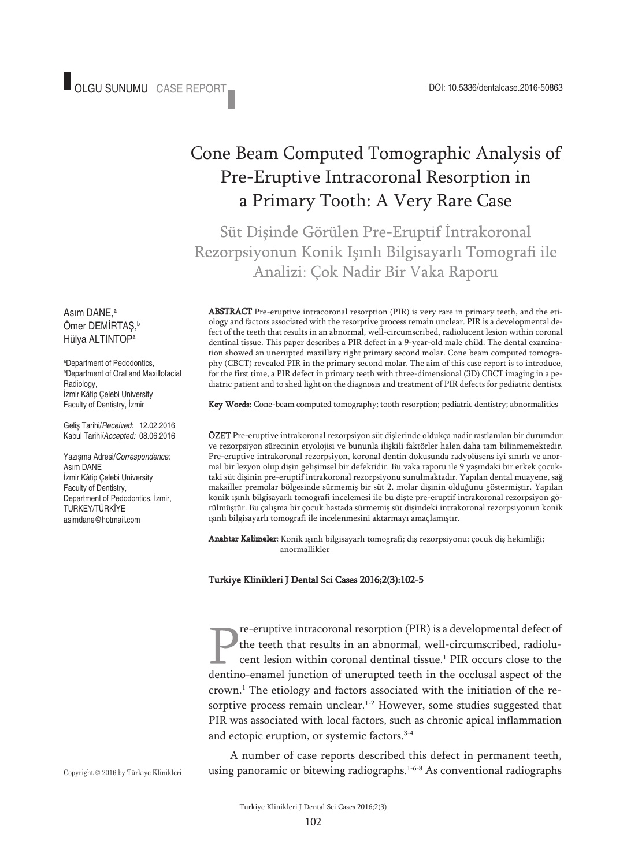# Cone Beam Computed Tomographic Analysis of Pre-Eruptive Intracoronal Resorption in a Primary Tooth: A Very Rare Case

Süt Disinde Görülen Pre-Eruptif İntrakoronal Rezorpsiyonun Konik Işınlı Bilgisayarlı Tomografi ile Analizi: Çok Nadir Bir Vaka Raporu

ABS TRACT Pre-eruptive intracoronal resorption (PIR) is very rare in primary teeth, and the etiology and factors associated with the resorptive process remain unclear. PIR is a developmental defect of the teeth that results in an abnormal, well-circumscribed, radiolucent lesion within coronal dentinal tissue. This paper describes a PIR defect in a 9-year-old male child. The dental examination showed an unerupted maxillary right primary second molar. Cone beam computed tomography (CBCT) revealed PIR in the primary second molar. The aim of this case report is to introduce, for the first time, a PIR defect in primary teeth with three-dimensional (3D) CBCT imaging in a pediatric patient and to shed light on the diagnosis and treatment of PIR defects for pediatric dentists.

**Key Words:** Cone-beam computed tomography; tooth resorption; pediatric dentistry; abnormalities

ÖZET Pre-eruptive intrakoronal rezorpsiyon süt dişlerinde oldukça nadir rastlanılan bir durumdur ve rezorpsiyon sürecinin etyolojisi ve bununla ilişkili faktörler halen daha tam bilinmemektedir. Pre-eruptive intrakoronal rezorpsiyon, koronal dentin dokusunda radyolüsens iyi sınırlı ve anormal bir lezyon olup dişin gelişimsel bir defektidir. Bu vaka raporu ile 9 yaşındaki bir erkek çocuktaki süt dişinin pre-eruptif intrakoronal rezorpsiyonu sunulmaktadır. Yapılan dental muayene, sağ maksiller premolar bölgesinde sürmemiş bir süt 2. molar dişinin olduğunu göstermiştir. Yapılan konik ışınlı bilgisayarlı tomografi incelemesi ile bu dişte pre-eruptif intrakoronal rezorpsiyon görülmüştür. Bu çalışma bir çocuk hastada sürmemiş süt dişindeki intrakoronal rezorpsiyonun konik ışınlı bilgisayarlı tomografi ile incelenmesini aktarmayı amaçlamıştır.

Anahtar Kelimeler: Konik ışınlı bilgisayarlı tomografi; diş rezorpsiyonu; çocuk diş hekimliği; anormallikler

#### Turkiye Klinikleri J Dental Sci Cases 2016;2(3):102-5

re-eruptive intracoronal resorption (PIR) is a developmental defect of the teeth that results in an abnormal, well-circumscribed, radiolucent lesion within coronal dentinal tissue. <sup>1</sup> PIR occurs close to the dentino-enamel junction of unerupted teeth in the occlusal aspect of the crown. <sup>1</sup> The etiology and factors associated with the initiation of the resorptive process remain unclear. 1-2 However, some studies suggested that PIR was associated with local factors, such as chronic apical inflammation and ectopic eruption, or systemic factors. 3-4

A number of case reports described this defect in permanent teeth, using panoramic or bitewing radiographs.<sup>1-6-8</sup> As conventional radiographs

Asım DANE, a Ömer DEMİRTAŞ, b Hülya ALTINTOPa

a Department of Pedodontics, b Department of Oral and Maxillofacial Radiology, İzmir Kâtip Çelebi University Faculty of Dentistry, İzmir

Geliş Tarihi/*Received:* 12.02.2016 Kabul Tarihi/*Accepted:* 08.06.2016

Yazışma Adresi/*Correspondence:* Asım DANE İzmir Kâtip Çelebi University Faculty of Dentistry, Department of Pedodontics, İzmir, TURKEY/TÜRKİYE asimdane@hotmail.com

Copyright © 2016 by Türkiye Klinikleri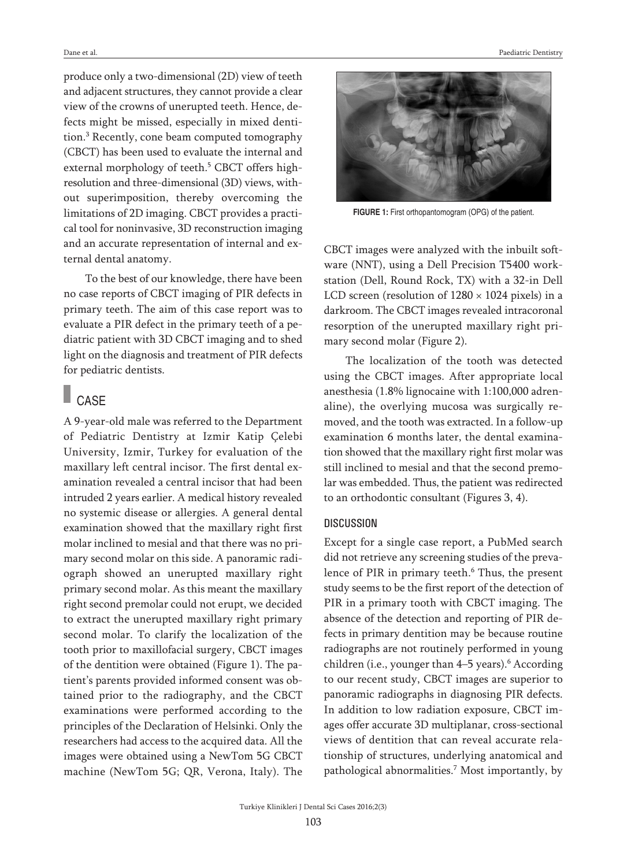produce only a two-dimensional (2D) view of teeth and adjacent structures, they cannot provide a clear view of the crowns of unerupted teeth. Hence, defects might be missed, especially in mixed dentition. <sup>3</sup> Recently, cone beam computed tomography (CBCT) has been used to evaluate the internal and external morphology of teeth. <sup>5</sup> CBCT offers highresolution and three-dimensional (3D) views, without superimposition, thereby overcoming the limitations of 2D imaging. CBCT provides a practical tool for noninvasive, 3D reconstruction imaging and an accurate representation of internal and external dental anatomy.

To the best of our knowledge, there have been no case reports of CBCT imaging of PIR defects in primary teeth. The aim of this case report was to evaluate a PIR defect in the primary teeth of a pediatric patient with 3D CBCT imaging and to shed light on the diagnosis and treatment of PIR defects for pediatric dentists.

## **CASE**

A 9-year-old male was referred to the Department of Pediatric Dentistry at Izmir Katip Çelebi University, Izmir, Turkey for evaluation of the maxillary left central incisor. The first dental examination revealed a central incisor that had been intruded 2 years earlier. A medical history revealed no systemic disease or allergies. A general dental examination showed that the maxillary right first molar inclined to mesial and that there was no primary second molar on this side. A panoramic radiograph showed an unerupted maxillary right primary second molar. As this meant the maxillary right second premolar could not erupt, we decided to extract the unerupted maxillary right primary second molar. To clarify the localization of the tooth prior to maxillofacial surgery, CBCT images of the dentition were obtained (Figure 1). The patient's parents provided informed consent was obtained prior to the radiography, and the CBCT examinations were performed according to the principles of the Declaration of Helsinki. Only the researchers had access to the acquired data. All the images were obtained using a NewTom 5G CBCT machine (NewTom 5G; QR, Verona, Italy). The



**FIGURE 1:** First orthopantomogram (OPG) of the patient.

CBCT images were analyzed with the inbuilt software (NNT), using a Dell Precision T5400 workstation (Dell, Round Rock, TX) with a 32-in Dell LCD screen (resolution of  $1280 \times 1024$  pixels) in a darkroom. The CBCT images revealed intracoronal resorption of the unerupted maxillary right primary second molar (Figure 2).

The localization of the tooth was detected using the CBCT images. After appropriate local anesthesia (1.8% lignocaine with 1:100,000 adrenaline), the overlying mucosa was surgically removed, and the tooth was extracted. In a follow-up examination 6 months later, the dental examination showed that the maxillary right first molar was still inclined to mesial and that the second premolar was embedded. Thus, the patient was redirected to an orthodontic consultant (Figures 3, 4).

#### **DISCUSSION**

Except for a single case report, a PubMed search did not retrieve any screening studies of the prevalence of PIR in primary teeth. <sup>6</sup> Thus, the present study seems to be the first report of the detection of PIR in a primary tooth with CBCT imaging. The absence of the detection and reporting of PIR defects in primary dentition may be because routine radiographs are not routinely performed in young children (i.e., younger than 4–5 years). <sup>6</sup> According to our recent study, CBCT images are superior to panoramic radiographs in diagnosing PIR defects. In addition to low radiation exposure, CBCT images offer accurate 3D multiplanar, cross-sectional views of dentition that can reveal accurate relationship of structures, underlying anatomical and pathological abnormalities. <sup>7</sup> Most importantly, by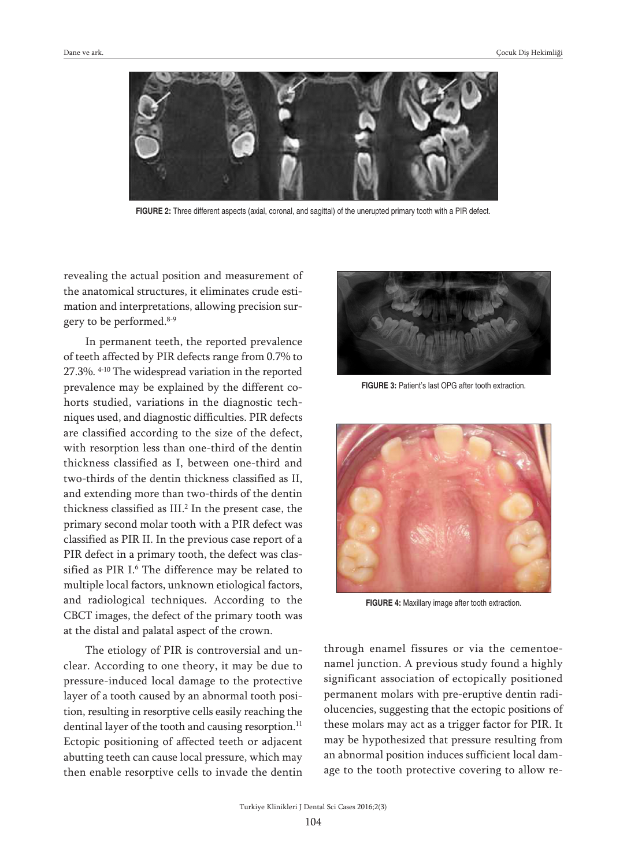

**FIGURE 2:** Three different aspects (axial, coronal, and sagittal) of the unerupted primary tooth with a PIR defect.

revealing the actual position and measurement of the anatomical structures, it eliminates crude estimation and interpretations, allowing precision surgery to be performed. 8-9

In permanent teeth, the reported prevalence of teeth affected by PIR defects range from 0.7% to 27.3%. 4-10 The widespread variation in the reported prevalence may be explained by the different cohorts studied, variations in the diagnostic techniques used, and diagnostic difficulties. PIR defects are classified according to the size of the defect, with resorption less than one-third of the dentin thickness classified as I, between one-third and two-thirds of the dentin thickness classified as II, and extending more than two-thirds of the dentin thickness classified as III. <sup>2</sup> In the present case, the primary second molar tooth with a PIR defect was classified as PIR II. In the previous case report of a PIR defect in a primary tooth, the defect was classified as PIR I.<sup>6</sup> The difference may be related to multiple local factors, unknown etiological factors, and radiological techniques. According to the CBCT images, the defect of the primary tooth was at the distal and palatal aspect of the crown.

The etiology of PIR is controversial and unclear. According to one theory, it may be due to pressure-induced local damage to the protective layer of a tooth caused by an abnormal tooth position, resulting in resorptive cells easily reaching the dentinal layer of the tooth and causing resorption. 11 Ectopic positioning of affected teeth or adjacent abutting teeth can cause local pressure, which may then enable resorptive cells to invade the dentin



**FIGURE 3:** Patient's last OPG after tooth extraction.



**FIGURE 4:** Maxillary image after tooth extraction.

through enamel fissures or via the cementoenamel junction. A previous study found a highly significant association of ectopically positioned permanent molars with pre-eruptive dentin radiolucencies, suggesting that the ectopic positions of these molars may act as a trigger factor for PIR. It may be hypothesized that pressure resulting from an abnormal position induces sufficient local damage to the tooth protective covering to allow re